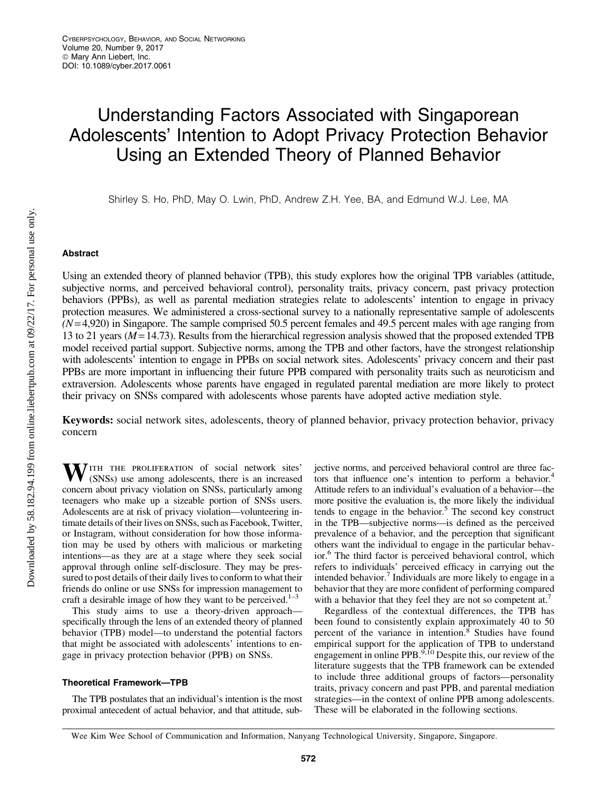# Understanding Factors Associated with Singaporean Adolescents' Intention to Adopt Privacy Protection Behavior Using an Extended Theory of Planned Behavior

Shirley S. Ho, PhD, May O. Lwin, PhD, Andrew Z.H. Yee, BA, and Edmund W.J. Lee, MA

# Abstract

Using an extended theory of planned behavior (TPB), this study explores how the original TPB variables (attitude, subjective norms, and perceived behavioral control), personality traits, privacy concern, past privacy protection behaviors (PPBs), as well as parental mediation strategies relate to adolescents' intention to engage in privacy protection measures. We administered a cross-sectional survey to a nationally representative sample of adolescents  $(N=4,920)$  in Singapore. The sample comprised 50.5 percent females and 49.5 percent males with age ranging from 13 to 21 years (*M* = 14.73). Results from the hierarchical regression analysis showed that the proposed extended TPB model received partial support. Subjective norms, among the TPB and other factors, have the strongest relationship with adolescents' intention to engage in PPBs on social network sites. Adolescents' privacy concern and their past PPBs are more important in influencing their future PPB compared with personality traits such as neuroticism and extraversion. Adolescents whose parents have engaged in regulated parental mediation are more likely to protect their privacy on SNSs compared with adolescents whose parents have adopted active mediation style.

Keywords: social network sites, adolescents, theory of planned behavior, privacy protection behavior, privacy concern

WITH THE PROLIFERATION of social network sites' (SNSs) use among adolescents, there is an increased concern about privacy violation on SNSs, particularly among teenagers who make up a sizeable portion of SNSs users. Adolescents are at risk of privacy violation—volunteering intimate details of their lives on SNSs, such as Facebook, Twitter, or Instagram, without consideration for how those information may be used by others with malicious or marketing intentions—as they are at a stage where they seek social approval through online self-disclosure. They may be pressured to post details of their daily lives to conform to what their friends do online or use SNSs for impression management to craft a desirable image of how they want to be perceived.<sup>1-3</sup>

This study aims to use a theory-driven approach specifically through the lens of an extended theory of planned behavior (TPB) model—to understand the potential factors that might be associated with adolescents' intentions to engage in privacy protection behavior (PPB) on SNSs.

## Theoretical Framework—TPB

The TPB postulates that an individual's intention is the most proximal antecedent of actual behavior, and that attitude, subjective norms, and perceived behavioral control are three factors that influence one's intention to perform a behavior.<sup>4</sup> Attitude refers to an individual's evaluation of a behavior—the more positive the evaluation is, the more likely the individual tends to engage in the behavior.<sup>5</sup> The second key construct in the TPB—subjective norms—is defined as the perceived prevalence of a behavior, and the perception that significant others want the individual to engage in the particular behavior.<sup>6</sup> The third factor is perceived behavioral control, which refers to individuals' perceived efficacy in carrying out the intended behavior.<sup>7</sup> Individuals are more likely to engage in a behavior that they are more confident of performing compared with a behavior that they feel they are not so competent at.

Regardless of the contextual differences, the TPB has been found to consistently explain approximately 40 to 50 percent of the variance in intention.<sup>8</sup> Studies have found empirical support for the application of TPB to understand engagement in online PPB. $9,10$  Despite this, our review of the literature suggests that the TPB framework can be extended to include three additional groups of factors—personality traits, privacy concern and past PPB, and parental mediation strategies—in the context of online PPB among adolescents. These will be elaborated in the following sections.

Wee Kim Wee School of Communication and Information, Nanyang Technological University, Singapore, Singapore.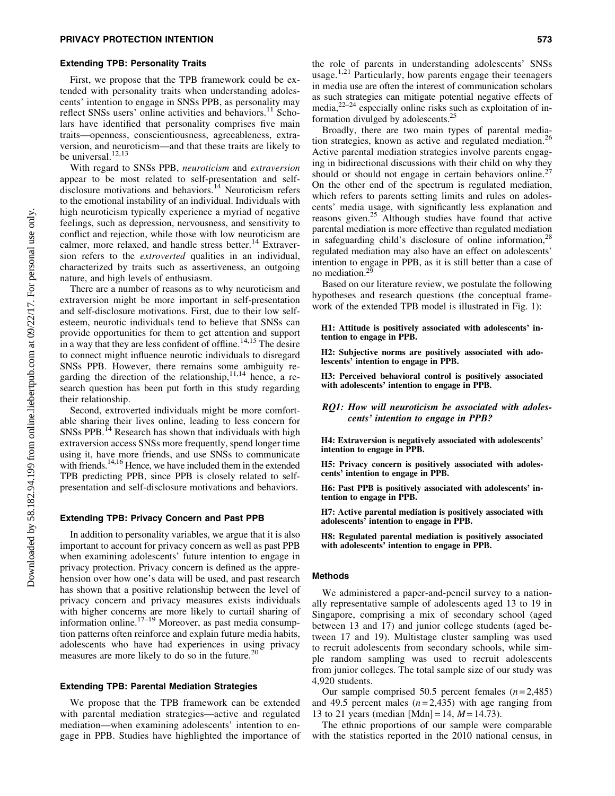#### Extending TPB: Personality Traits

First, we propose that the TPB framework could be extended with personality traits when understanding adolescents' intention to engage in SNSs PPB, as personality may reflect SNSs users' online activities and behaviors.<sup>11</sup> Scholars have identified that personality comprises five main traits—openness, conscientiousness, agreeableness, extraversion, and neuroticism—and that these traits are likely to be universal. $12,13$ 

With regard to SNSs PPB, *neuroticism* and *extraversion* appear to be most related to self-presentation and selfdisclosure motivations and behaviors.<sup>14</sup> Neuroticism refers to the emotional instability of an individual. Individuals with high neuroticism typically experience a myriad of negative feelings, such as depression, nervousness, and sensitivity to conflict and rejection, while those with low neuroticism are calmer, more relaxed, and handle stress better.<sup>14</sup> Extraversion refers to the *extroverted* qualities in an individual, characterized by traits such as assertiveness, an outgoing nature, and high levels of enthusiasm.

There are a number of reasons as to why neuroticism and extraversion might be more important in self-presentation and self-disclosure motivations. First, due to their low selfesteem, neurotic individuals tend to believe that SNSs can provide opportunities for them to get attention and support  $\frac{1}{2}$  in a way that they are less confident of offline.<sup>14,15</sup> The desire to connect might influence neurotic individuals to disregard SNSs PPB. However, there remains some ambiguity regarding the direction of the relationship, $^{11,14}$  hence, a research question has been put forth in this study regarding their relationship.

Second, extroverted individuals might be more comfortable sharing their lives online, leading to less concern for  $SNSs$  PPB.<sup>14</sup> Research has shown that individuals with high extraversion access SNSs more frequently, spend longer time using it, have more friends, and use SNSs to communicate with friends.<sup>14,16</sup> Hence, we have included them in the extended TPB predicting PPB, since PPB is closely related to selfpresentation and self-disclosure motivations and behaviors.

## Extending TPB: Privacy Concern and Past PPB

In addition to personality variables, we argue that it is also important to account for privacy concern as well as past PPB when examining adolescents' future intention to engage in privacy protection. Privacy concern is defined as the apprehension over how one's data will be used, and past research has shown that a positive relationship between the level of privacy concern and privacy measures exists individuals with higher concerns are more likely to curtail sharing of information online.<sup>17–19</sup> Moreover, as past media consumption patterns often reinforce and explain future media habits, adolescents who have had experiences in using privacy measures are more likely to do so in the future.<sup>20</sup>

#### Extending TPB: Parental Mediation Strategies

We propose that the TPB framework can be extended with parental mediation strategies—active and regulated mediation—when examining adolescents' intention to engage in PPB. Studies have highlighted the importance of the role of parents in understanding adolescents' SNSs usage.<sup>1,21</sup> Particularly, how parents engage their teenagers in media use are often the interest of communication scholars as such strategies can mitigate potential negative effects of media, $2^{2-24}$  especially online risks such as exploitation of information divulged by adolescents.<sup>2</sup>

Broadly, there are two main types of parental mediation strategies, known as active and regulated mediation.<sup>26</sup> Active parental mediation strategies involve parents engaging in bidirectional discussions with their child on why they should or should not engage in certain behaviors online.<sup>27</sup> On the other end of the spectrum is regulated mediation, which refers to parents setting limits and rules on adolescents' media usage, with significantly less explanation and reasons given.25 Although studies have found that active parental mediation is more effective than regulated mediation in safeguarding child's disclosure of online information,  $^{28}$ regulated mediation may also have an effect on adolescents' intention to engage in PPB, as it is still better than a case of no mediation.29

Based on our literature review, we postulate the following hypotheses and research questions (the conceptual framework of the extended TPB model is illustrated in Fig. 1):

H1: Attitude is positively associated with adolescents' intention to engage in PPB.

H2: Subjective norms are positively associated with adolescents' intention to engage in PPB.

H3: Perceived behavioral control is positively associated with adolescents' intention to engage in PPB.

RQ1: How will neuroticism be associated with adolescents' intention to engage in PPB?

H4: Extraversion is negatively associated with adolescents' intention to engage in PPB.

H5: Privacy concern is positively associated with adolescents' intention to engage in PPB.

H6: Past PPB is positively associated with adolescents' intention to engage in PPB.

H7: Active parental mediation is positively associated with adolescents' intention to engage in PPB.

H8: Regulated parental mediation is positively associated with adolescents' intention to engage in PPB.

#### Methods

We administered a paper-and-pencil survey to a nationally representative sample of adolescents aged 13 to 19 in Singapore, comprising a mix of secondary school (aged between 13 and 17) and junior college students (aged between 17 and 19). Multistage cluster sampling was used to recruit adolescents from secondary schools, while simple random sampling was used to recruit adolescents from junior colleges. The total sample size of our study was 4,920 students.

Our sample comprised 50.5 percent females  $(n=2,485)$ and 49.5 percent males  $(n=2,435)$  with age ranging from 13 to 21 years (median [Mdn] = 14,  $M = 14.73$ ).

The ethnic proportions of our sample were comparable with the statistics reported in the 2010 national census, in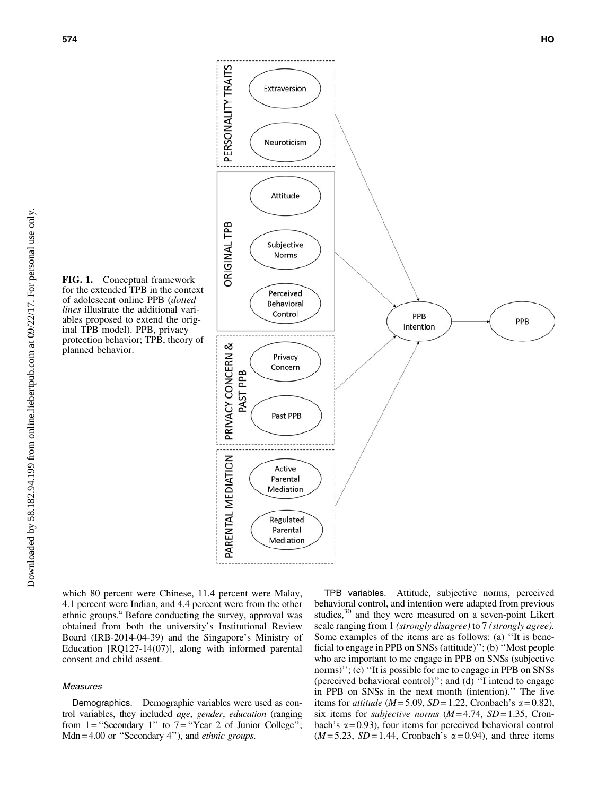FIG. 1. Conceptual framework for the extended TPB in the context of adolescent online PPB (*dotted lines* illustrate the additional variables proposed to extend the original TPB model). PPB, privacy protection behavior; TPB, theory of planned behavior.



which 80 percent were Chinese, 11.4 percent were Malay, 4.1 percent were Indian, and 4.4 percent were from the other ethnic groups.<sup>a</sup> Before conducting the survey, approval was obtained from both the university's Institutional Review Board (IRB-2014-04-39) and the Singapore's Ministry of Education [RQ127-14(07)], along with informed parental consent and child assent.

## Measures

Downloaded by 58.182.94.199 from online.liebertpub.com at 09/22/17. For personal use only.

Downloaded by 58.182.94.199 from online.liebertpub.com at 09/22/17. For personal use only

Demographics. Demographic variables were used as control variables, they included *age*, *gender*, *education* (ranging from  $1 =$  "Secondary 1" to  $7 =$  "Year 2 of Junior College"; Mdn = 4.00 or ''Secondary 4''), and *ethnic groups*.

TPB variables. Attitude, subjective norms, perceived behavioral control, and intention were adapted from previous studies,<sup>30</sup> and they were measured on a seven-point Likert scale ranging from 1 *(strongly disagree)* to 7 *(strongly agree).* Some examples of the items are as follows: (a) ''It is beneficial to engage in PPB on SNSs (attitude)''; (b) ''Most people who are important to me engage in PPB on SNSs (subjective norms)"; (c) "It is possible for me to engage in PPB on SNSs (perceived behavioral control)''; and (d) ''I intend to engage in PPB on SNSs in the next month (intention).'' The five items for *attitude* ( $M = 5.09$ ,  $SD = 1.22$ , Cronbach's  $\alpha = 0.82$ ), six items for *subjective norms*  $(M=4.74, SD=1.35, Cron$ bach's  $\alpha$  = 0.93), four items for perceived behavioral control  $(M=5.23, SD=1.44, Cronbach's  $\alpha=0.94$ ), and three items$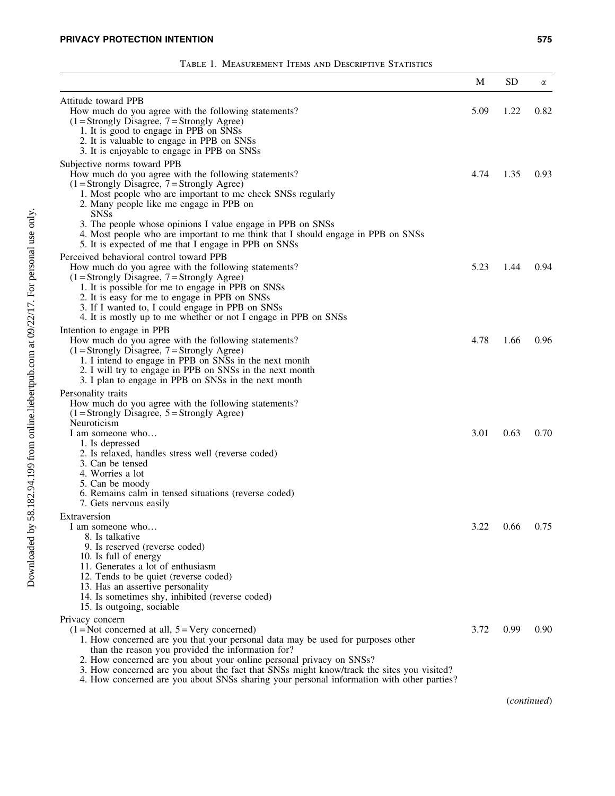|                                                                                                                                                                                                                                                                                                                                                                                                                                                                               | M    | <b>SD</b>   | α    |
|-------------------------------------------------------------------------------------------------------------------------------------------------------------------------------------------------------------------------------------------------------------------------------------------------------------------------------------------------------------------------------------------------------------------------------------------------------------------------------|------|-------------|------|
| Attitude toward PPB<br>How much do you agree with the following statements?<br>$(1 =$ Strongly Disagree, $7 =$ Strongly Agree)<br>1. It is good to engage in PPB on SNSs<br>2. It is valuable to engage in PPB on SNSs<br>3. It is enjoyable to engage in PPB on SNSs                                                                                                                                                                                                         | 5.09 | 1.22        | 0.82 |
| Subjective norms toward PPB<br>How much do you agree with the following statements?<br>$(1 =$ Strongly Disagree, $7 =$ Strongly Agree)<br>1. Most people who are important to me check SNSs regularly<br>2. Many people like me engage in PPB on<br>SNSs                                                                                                                                                                                                                      | 4.74 | 1.35        | 0.93 |
| 3. The people whose opinions I value engage in PPB on SNSs<br>4. Most people who are important to me think that I should engage in PPB on SNSs<br>5. It is expected of me that I engage in PPB on SNSs<br>Perceived behavioral control toward PPB                                                                                                                                                                                                                             |      |             |      |
| How much do you agree with the following statements?<br>$(1 =$ Strongly Disagree, $7 =$ Strongly Agree)<br>1. It is possible for me to engage in PPB on SNSs<br>2. It is easy for me to engage in PPB on SNSs<br>3. If I wanted to, I could engage in PPB on SNSs<br>4. It is mostly up to me whether or not I engage in PPB on SNSs                                                                                                                                          | 5.23 | 1.44        | 0.94 |
| Intention to engage in PPB<br>How much do you agree with the following statements?<br>$(1 =$ Strongly Disagree, $7 =$ Strongly Agree)<br>1. I intend to engage in PPB on SNSs in the next month<br>2. I will try to engage in PPB on SNSs in the next month<br>3. I plan to engage in PPB on SNSs in the next month                                                                                                                                                           | 4.78 | 1.66        | 0.96 |
| Personality traits<br>How much do you agree with the following statements?<br>$(1 =$ Strongly Disagree, $5 =$ Strongly Agree)<br>Neuroticism                                                                                                                                                                                                                                                                                                                                  |      |             |      |
| I am someone who<br>1. Is depressed<br>2. Is relaxed, handles stress well (reverse coded)<br>3. Can be tensed<br>4. Worries a lot<br>5. Can be moody<br>6. Remains calm in tensed situations (reverse coded)<br>7. Gets nervous easily                                                                                                                                                                                                                                        | 3.01 | 0.63        | 0.70 |
| Extraversion<br>I am someone who<br>8. Is talkative<br>9. Is reserved (reverse coded)<br>10. Is full of energy<br>11. Generates a lot of enthusiasm<br>12. Tends to be quiet (reverse coded)<br>13. Has an assertive personality<br>14. Is sometimes shy, inhibited (reverse coded)<br>15. Is outgoing, sociable                                                                                                                                                              | 3.22 | $0.66$ 0.75 |      |
| Privacy concern<br>$(1 = Not concerned at all, 5 = Very concerned)$<br>1. How concerned are you that your personal data may be used for purposes other<br>than the reason you provided the information for?<br>2. How concerned are you about your online personal privacy on SNSs?<br>3. How concerned are you about the fact that SNSs might know/track the sites you visited?<br>4. How concerned are you about SNSs sharing your personal information with other parties? | 3.72 | 0.99        | 0.90 |

(*continued*)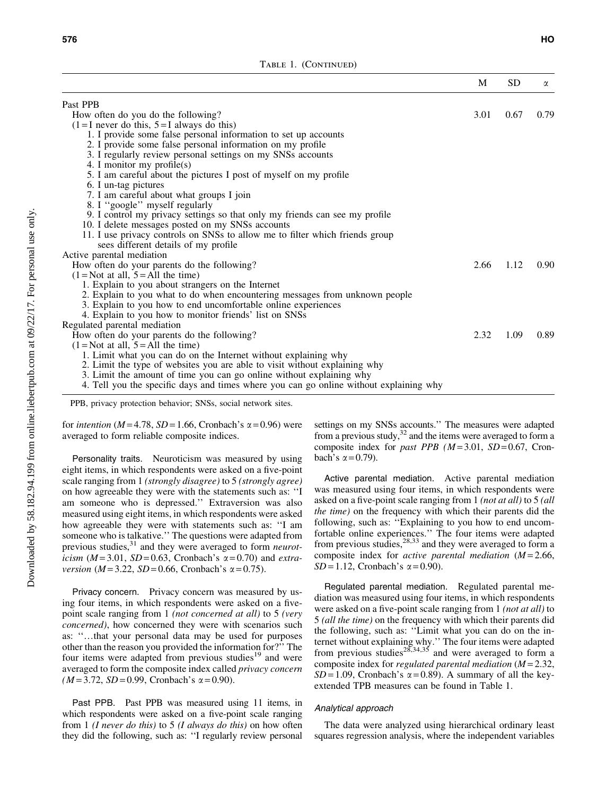|                                                                                                                                              | M    | <b>SD</b> | α    |
|----------------------------------------------------------------------------------------------------------------------------------------------|------|-----------|------|
| Past PPB                                                                                                                                     |      |           |      |
| How often do you do the following?                                                                                                           | 3.01 | 0.67      | 0.79 |
| $(1=I)$ never do this, $5=I$ always do this)                                                                                                 |      |           |      |
| 1. I provide some false personal information to set up accounts                                                                              |      |           |      |
| 2. I provide some false personal information on my profile                                                                                   |      |           |      |
| 3. I regularly review personal settings on my SNSs accounts                                                                                  |      |           |      |
| 4. I monitor my profile(s)                                                                                                                   |      |           |      |
| 5. I am careful about the pictures I post of myself on my profile                                                                            |      |           |      |
| 6. I un-tag pictures                                                                                                                         |      |           |      |
| 7. I am careful about what groups I join                                                                                                     |      |           |      |
| 8. I "google" myself regularly                                                                                                               |      |           |      |
| 9. I control my privacy settings so that only my friends can see my profile                                                                  |      |           |      |
| 10. I delete messages posted on my SNSs accounts                                                                                             |      |           |      |
| 11. I use privacy controls on SNSs to allow me to filter which friends group                                                                 |      |           |      |
| sees different details of my profile                                                                                                         |      |           |      |
| Active parental mediation                                                                                                                    |      |           |      |
| How often do your parents do the following?                                                                                                  | 2.66 | 1.12      | 0.90 |
| $(1 = Not at all, 5 = All the time)$                                                                                                         |      |           |      |
| 1. Explain to you about strangers on the Internet                                                                                            |      |           |      |
| 2. Explain to you what to do when encountering messages from unknown people<br>3. Explain to you how to end uncomfortable online experiences |      |           |      |
| 4. Explain to you how to monitor friends' list on SNSs                                                                                       |      |           |      |
| Regulated parental mediation                                                                                                                 |      |           |      |
| How often do your parents do the following?                                                                                                  | 2.32 | 1.09      | 0.89 |
| $(1 = Not at all, 5 = All the time)$                                                                                                         |      |           |      |
| 1. Limit what you can do on the Internet without explaining why                                                                              |      |           |      |
| 2. Limit the type of websites you are able to visit without explaining why                                                                   |      |           |      |
| 3. Limit the amount of time you can go online without explaining why                                                                         |      |           |      |
| 4. Tell you the specific days and times where you can go online without explaining why                                                       |      |           |      |

PPB, privacy protection behavior; SNSs, social network sites.

for *intention* ( $M = 4.78$ ,  $SD = 1.66$ , Cronbach's  $\alpha = 0.96$ ) were averaged to form reliable composite indices.

Personality traits. Neuroticism was measured by using eight items, in which respondents were asked on a five-point scale ranging from 1 *(strongly disagree)* to 5 *(strongly agree)* on how agreeable they were with the statements such as: ''I am someone who is depressed.'' Extraversion was also measured using eight items, in which respondents were asked how agreeable they were with statements such as: ''I am someone who is talkative.'' The questions were adapted from previous studies,<sup>31</sup> and they were averaged to form *neuroticism* ( $M = 3.01$ ,  $SD = 0.63$ , Cronbach's  $\alpha = 0.70$ ) and *extraversion* ( $M = 3.22$ ,  $SD = 0.66$ , Cronbach's  $\alpha = 0.75$ ).

Privacy concern. Privacy concern was measured by using four items, in which respondents were asked on a fivepoint scale ranging from 1 *(not concerned at all)* to 5 *(very concerned)*, how concerned they were with scenarios such as: "...that your personal data may be used for purposes other than the reason you provided the information for?'' The four items were adapted from previous studies $19$  and were averaged to form the composite index called *privacy concern*  $(M=3.72, SD=0.99, Cronbach's \alpha = 0.90).$ 

Past PPB. Past PPB was measured using 11 items, in which respondents were asked on a five-point scale ranging from 1 *(I never do this)* to 5 *(I always do this)* on how often they did the following, such as: ''I regularly review personal settings on my SNSs accounts.'' The measures were adapted from a previous study, $32$  and the items were averaged to form a composite index for *past PPB* ( $M = 3.01$ ,  $SD = 0.67$ , Cronbach's  $\alpha = 0.79$ ).

Active parental mediation. Active parental mediation was measured using four items, in which respondents were asked on a five-point scale ranging from 1 *(not at all)* to 5 *(all the time)* on the frequency with which their parents did the following, such as: ''Explaining to you how to end uncomfortable online experiences.'' The four items were adapted from previous studies,  $28,33$  and they were averaged to form a composite index for *active parental mediation* (*M* = 2.66, *SD* = 1.12, Cronbach's  $\alpha$  = 0.90).

Regulated parental mediation. Regulated parental mediation was measured using four items, in which respondents were asked on a five-point scale ranging from 1 *(not at all)* to 5 *(all the time)* on the frequency with which their parents did the following, such as: ''Limit what you can do on the internet without explaining why.'' The four items were adapted from previous studies<sup>28,34,35</sup> and were averaged to form a composite index for *regulated parental mediation* (*M* = 2.32,  $SD = 1.09$ , Cronbach's  $\alpha = 0.89$ ). A summary of all the keyextended TPB measures can be found in Table 1.

## Analytical approach

The data were analyzed using hierarchical ordinary least squares regression analysis, where the independent variables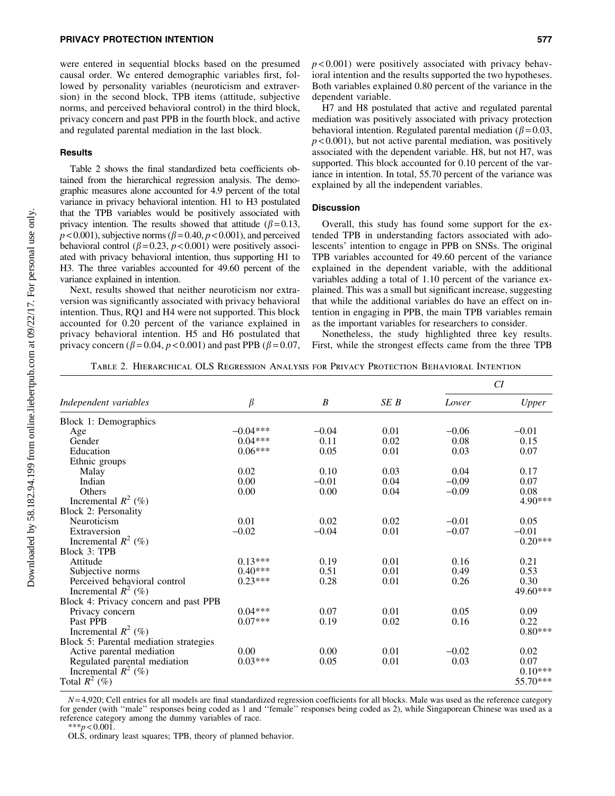## PRIVACY PROTECTION INTENTION 577

were entered in sequential blocks based on the presumed causal order. We entered demographic variables first, followed by personality variables (neuroticism and extraversion) in the second block, TPB items (attitude, subjective norms, and perceived behavioral control) in the third block, privacy concern and past PPB in the fourth block, and active and regulated parental mediation in the last block.

#### Results

Table 2 shows the final standardized beta coefficients obtained from the hierarchical regression analysis. The demographic measures alone accounted for 4.9 percent of the total variance in privacy behavioral intention. H1 to H3 postulated that the TPB variables would be positively associated with privacy intention. The results showed that attitude ( $\beta$  = 0.13,  $p$  < 0.001), subjective norms ( $\beta$  = 0.40,  $p$  < 0.001), and perceived behavioral control ( $\beta$ =0.23, *p* < 0.001) were positively associated with privacy behavioral intention, thus supporting H1 to H3. The three variables accounted for 49.60 percent of the variance explained in intention.

Next, results showed that neither neuroticism nor extraversion was significantly associated with privacy behavioral intention. Thus, RQ1 and H4 were not supported. This block accounted for 0.20 percent of the variance explained in privacy behavioral intention. H5 and H6 postulated that privacy concern ( $\beta$  = 0.04,  $p$  < 0.001) and past PPB ( $\beta$  = 0.07,

H7 and H8 postulated that active and regulated parental mediation was positively associated with privacy protection behavioral intention. Regulated parental mediation ( $\beta$  = 0.03,  $p$  < 0.001), but not active parental mediation, was positively associated with the dependent variable. H8, but not H7, was supported. This block accounted for 0.10 percent of the variance in intention. In total, 55.70 percent of the variance was explained by all the independent variables.

## **Discussion**

Overall, this study has found some support for the extended TPB in understanding factors associated with adolescents' intention to engage in PPB on SNSs. The original TPB variables accounted for 49.60 percent of the variance explained in the dependent variable, with the additional variables adding a total of 1.10 percent of the variance explained. This was a small but significant increase, suggesting that while the additional variables do have an effect on intention in engaging in PPB, the main TPB variables remain as the important variables for researchers to consider.

Nonetheless, the study highlighted three key results. First, while the strongest effects came from the three TPB

Table 2. Hierarchical OLS Regression Analysis for Privacy Protection Behavioral Intention

| $\beta$<br>SEB<br>B<br>Independent variables<br>Lower<br>$-0.04***$<br>0.01<br>$-0.04$<br>$-0.06$<br>Age<br>$0.04***$<br>0.02<br>Gender<br>0.11<br>0.08<br>$0.06***$<br>0.01<br>0.05<br>0.03<br>Education | Upper<br>$-0.01$<br>0.15<br>0.07 |
|-----------------------------------------------------------------------------------------------------------------------------------------------------------------------------------------------------------|----------------------------------|
| Block 1: Demographics                                                                                                                                                                                     |                                  |
|                                                                                                                                                                                                           |                                  |
|                                                                                                                                                                                                           |                                  |
|                                                                                                                                                                                                           |                                  |
|                                                                                                                                                                                                           |                                  |
| Ethnic groups                                                                                                                                                                                             |                                  |
| 0.02<br>0.03<br>0.10<br>0.04<br>Malay                                                                                                                                                                     | 0.17                             |
| Indian<br>0.00<br>$-0.01$<br>0.04<br>$-0.09$                                                                                                                                                              | 0.07                             |
| 0.00<br>0.04<br>0.00<br>$-0.09$<br>Others                                                                                                                                                                 | 0.08                             |
| Incremental $R^2$ (%)                                                                                                                                                                                     | 4.90***                          |
| <b>Block 2: Personality</b>                                                                                                                                                                               |                                  |
| 0.01<br>0.02<br>Neuroticism<br>0.02<br>$-0.01$                                                                                                                                                            | 0.05                             |
| $-0.02$<br>$-0.04$<br>0.01<br>$-0.07$<br>Extraversion                                                                                                                                                     | $-0.01$                          |
| Incremental $R^2$ (%)                                                                                                                                                                                     | $0.20***$                        |
| <b>Block 3: TPB</b>                                                                                                                                                                                       |                                  |
| $0.13***$<br>0.19<br>0.01<br>0.16<br>Attitude                                                                                                                                                             | 0.21                             |
| $0.40***$<br>0.51<br>0.01<br>Subjective norms<br>0.49                                                                                                                                                     | 0.53                             |
| $0.23***$<br>Perceived behavioral control<br>0.28<br>0.01<br>0.26                                                                                                                                         | 0.30                             |
| Incremental $R^2$ (%)                                                                                                                                                                                     | 49.60***                         |
| Block 4: Privacy concern and past PPB                                                                                                                                                                     |                                  |
| $0.04***$<br>0.07<br>0.01<br>0.05<br>Privacy concern                                                                                                                                                      | 0.09                             |
| $0.07***$<br>Past PPB<br>0.19<br>0.02<br>0.16                                                                                                                                                             | 0.22                             |
| Incremental $R^2$ (%)                                                                                                                                                                                     | $0.80***$                        |
| Block 5: Parental mediation strategies                                                                                                                                                                    |                                  |
| 0.00<br>0.01<br>0.00<br>$-0.02$<br>Active parental mediation                                                                                                                                              | 0.02                             |
| $0.03***$<br>0.01<br>Regulated parental mediation<br>0.05<br>0.03                                                                                                                                         | 0.07                             |
| Incremental $R^2$ (%)                                                                                                                                                                                     | $0.10***$                        |
| Total $R^2$ (%)                                                                                                                                                                                           | 55.70***                         |

 $N=4,920$ ; Cell entries for all models are final standardized regression coefficients for all blocks. Male was used as the reference category for gender (with ''male'' responses being coded as 1 and ''female'' responses being coded as 2), while Singaporean Chinese was used as a reference category among the dummy variables of race.  $***p<0.001$ .

OLS, ordinary least squares; TPB, theory of planned behavior.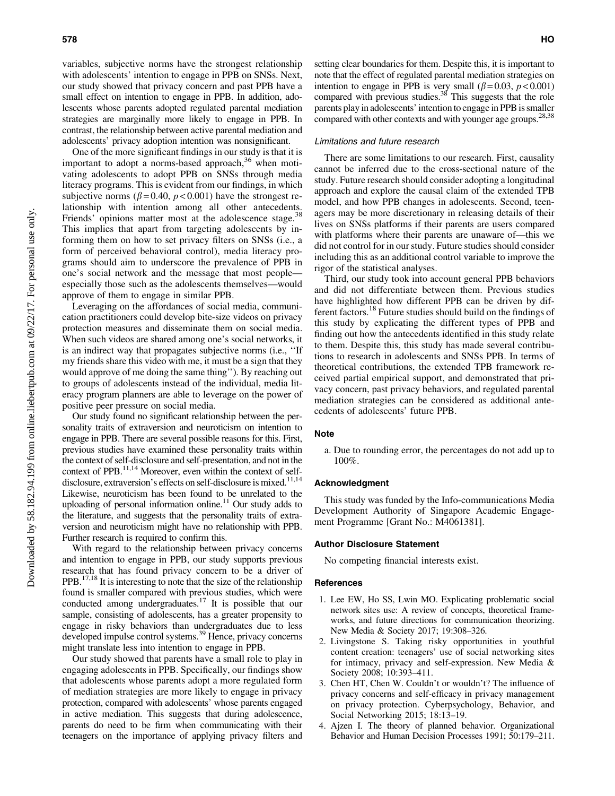variables, subjective norms have the strongest relationship with adolescents' intention to engage in PPB on SNSs. Next, our study showed that privacy concern and past PPB have a small effect on intention to engage in PPB. In addition, adolescents whose parents adopted regulated parental mediation strategies are marginally more likely to engage in PPB. In contrast, the relationship between active parental mediation and adolescents' privacy adoption intention was nonsignificant.

One of the more significant findings in our study is that it is important to adopt a norms-based approach, $36$  when motivating adolescents to adopt PPB on SNSs through media literacy programs. This is evident from our findings, in which subjective norms ( $\beta$ =0.40,  $p$  <0.001) have the strongest relationship with intention among all other antecedents. Friends' opinions matter most at the adolescence stage.<sup>3</sup> This implies that apart from targeting adolescents by informing them on how to set privacy filters on SNSs (i.e., a form of perceived behavioral control), media literacy programs should aim to underscore the prevalence of PPB in one's social network and the message that most people especially those such as the adolescents themselves—would approve of them to engage in similar PPB.

Leveraging on the affordances of social media, communication practitioners could develop bite-size videos on privacy protection measures and disseminate them on social media. When such videos are shared among one's social networks, it is an indirect way that propagates subjective norms (i.e., ''If my friends share this video with me, it must be a sign that they would approve of me doing the same thing''). By reaching out to groups of adolescents instead of the individual, media literacy program planners are able to leverage on the power of positive peer pressure on social media.

Our study found no significant relationship between the personality traits of extraversion and neuroticism on intention to engage in PPB. There are several possible reasons for this. First, previous studies have examined these personality traits within the context of self-disclosure and self-presentation, and not in the context of PPB.<sup>11,14</sup> Moreover, even within the context of selfdisclosure, extraversion's effects on self-disclosure is mixed.<sup>11,14</sup> Likewise, neuroticism has been found to be unrelated to the uploading of personal information online.<sup>11</sup> Our study adds to the literature, and suggests that the personality traits of extraversion and neuroticism might have no relationship with PPB. Further research is required to confirm this.

With regard to the relationship between privacy concerns and intention to engage in PPB, our study supports previous research that has found privacy concern to be a driver of PPB.<sup>17,18</sup> It is interesting to note that the size of the relationship found is smaller compared with previous studies, which were conducted among undergraduates.17 It is possible that our sample, consisting of adolescents, has a greater propensity to engage in risky behaviors than undergraduates due to less developed impulse control systems.39 Hence, privacy concerns might translate less into intention to engage in PPB.

Our study showed that parents have a small role to play in engaging adolescents in PPB. Specifically, our findings show that adolescents whose parents adopt a more regulated form of mediation strategies are more likely to engage in privacy protection, compared with adolescents' whose parents engaged in active mediation. This suggests that during adolescence, parents do need to be firm when communicating with their teenagers on the importance of applying privacy filters and setting clear boundaries for them. Despite this, it is important to note that the effect of regulated parental mediation strategies on intention to engage in PPB is very small  $(\beta = 0.03, p < 0.001)$ compared with previous studies.<sup>38</sup> This suggests that the role parents play in adolescents' intention to engage in PPB is smaller compared with other contexts and with younger age groups.<sup>28,3</sup>

#### Limitations and future research

There are some limitations to our research. First, causality cannot be inferred due to the cross-sectional nature of the study. Future research should consider adopting a longitudinal approach and explore the causal claim of the extended TPB model, and how PPB changes in adolescents. Second, teenagers may be more discretionary in releasing details of their lives on SNSs platforms if their parents are users compared with platforms where their parents are unaware of—this we did not control for in our study. Future studies should consider including this as an additional control variable to improve the rigor of the statistical analyses.

Third, our study took into account general PPB behaviors and did not differentiate between them. Previous studies have highlighted how different PPB can be driven by different factors.<sup>18</sup> Future studies should build on the findings of this study by explicating the different types of PPB and finding out how the antecedents identified in this study relate to them. Despite this, this study has made several contributions to research in adolescents and SNSs PPB. In terms of theoretical contributions, the extended TPB framework received partial empirical support, and demonstrated that privacy concern, past privacy behaviors, and regulated parental mediation strategies can be considered as additional antecedents of adolescents' future PPB.

#### **Note**

a. Due to rounding error, the percentages do not add up to 100%.

## Acknowledgment

This study was funded by the Info-communications Media Development Authority of Singapore Academic Engagement Programme [Grant No.: M4061381].

# Author Disclosure Statement

No competing financial interests exist.

#### References

- 1. Lee EW, Ho SS, Lwin MO. Explicating problematic social network sites use: A review of concepts, theoretical frameworks, and future directions for communication theorizing. New Media & Society 2017; 19:308–326.
- 2. Livingstone S. Taking risky opportunities in youthful content creation: teenagers' use of social networking sites for intimacy, privacy and self-expression. New Media & Society 2008; 10:393–411.
- 3. Chen HT, Chen W. Couldn't or wouldn't? The influence of privacy concerns and self-efficacy in privacy management on privacy protection. Cyberpsychology, Behavior, and Social Networking 2015; 18:13–19.
- 4. Ajzen I. The theory of planned behavior. Organizational Behavior and Human Decision Processes 1991; 50:179–211.